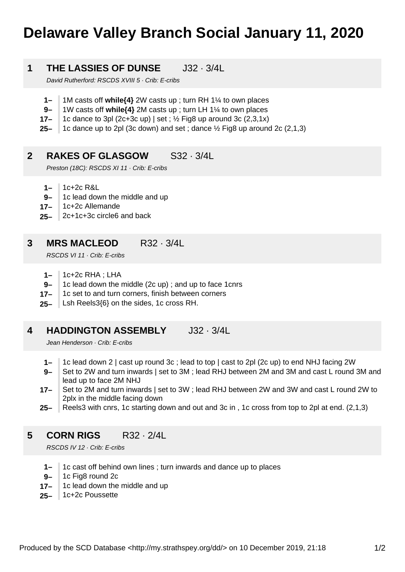# **Delaware Valley Branch Social January 11, 2020**

## **1 THE LASSIES OF DUNSE** J32 · 3/4L

David Rutherford: RSCDS XVIII 5 · Crib: E-cribs

- **1–** 1M casts off **while{4}** 2W casts up ; turn RH 1¼ to own places
- **9–** 1W casts off **while{4}** 2M casts up ; turn LH 1¼ to own places
- **17–** 1c dance to 3pl (2c+3c up) | set ;  $\frac{1}{2}$  Fig8 up around 3c (2,3,1x)
- **25–** 1c dance up to 2pl (3c down) and set ; dance ½ Fig8 up around 2c (2,1,3)

#### **2 RAKES OF GLASGOW** S32 · 3/4L

Preston (18C): RSCDS XI 11 · Crib: E-cribs

- **1–** 1c+2c R&L
- **9–** 1c lead down the middle and up
- **17–** 1c+2c Allemande
- **25–** 2c+1c+3c circle6 and back

### **3 MRS MACLEOD** R32 · 3/4L

RSCDS VI 11 · Crib: E-cribs

- **1–** 1c+2c RHA ; LHA
- **9–** 1c lead down the middle (2c up) ; and up to face 1cnrs
- **17–** 1c set to and turn corners, finish between corners
- **25–** Lsh Reels3{6} on the sides, 1c cross RH.

### **4 HADDINGTON ASSEMBLY** J32 · 3/4L

Jean Henderson · Crib: E-cribs

- **1–** 1c lead down 2 | cast up round 3c ; lead to top | cast to 2pl (2c up) to end NHJ facing 2W
- **9–** Set to 2W and turn inwards | set to 3M ; lead RHJ between 2M and 3M and cast L round 3M and lead up to face 2M NHJ
- **17–** Set to 2M and turn inwards | set to 3W ; lead RHJ between 2W and 3W and cast L round 2W to 2plx in the middle facing down
- **25–** Reels3 with cnrs, 1c starting down and out and 3c in , 1c cross from top to 2pl at end. (2,1,3)

### **5 CORN RIGS** R32 · 2/4L

RSCDS IV 12 · Crib: E-cribs

- **1–** 1c cast off behind own lines ; turn inwards and dance up to places
- **9–** 1c Fig8 round 2c
- **17–** 1c lead down the middle and up
- **25–** 1c+2c Poussette